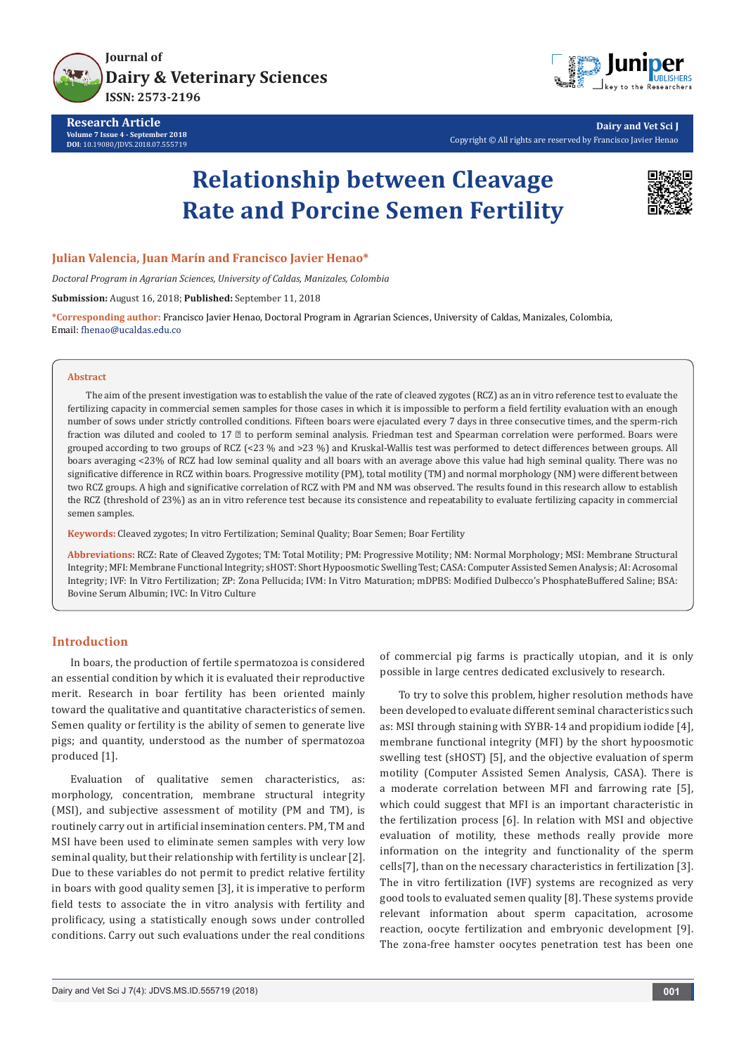



**Dairy and Vet Sci J** Copyright © All rights are reserved by Francisco Javier Henao

# **Relationship between Cleavage Rate and Porcine Semen Fertility**



# **Julian Valencia, Juan Marín and Francisco Javier Henao\***

*Doctoral Program in Agrarian Sciences, University of Caldas, Manizales, Colombia*

**Submission:** August 16, 2018; **Published:** September 11, 2018

**\*Corresponding author:** Francisco Javier Henao, Doctoral Program in Agrarian Sciences, University of Caldas, Manizales, Colombia, Email: fhenao@ucaldas.edu.co

#### **Abstract**

The aim of the present investigation was to establish the value of the rate of cleaved zygotes (RCZ) as an in vitro reference test to evaluate the fertilizing capacity in commercial semen samples for those cases in which it is impossible to perform a field fertility evaluation with an enough number of sows under strictly controlled conditions. Fifteen boars were ejaculated every 7 days in three consecutive times, and the sperm-rich fraction was diluted and cooled to 17  $□$  to perform seminal analysis. Friedman test and Spearman correlation were performed. Boars were grouped according to two groups of RCZ (<23 % and >23 %) and Kruskal-Wallis test was performed to detect differences between groups. All boars averaging <23% of RCZ had low seminal quality and all boars with an average above this value had high seminal quality. There was no significative difference in RCZ within boars. Progressive motility (PM), total motility (TM) and normal morphology (NM) were different between two RCZ groups. A high and significative correlation of RCZ with PM and NM was observed. The results found in this research allow to establish the RCZ (threshold of 23%) as an in vitro reference test because its consistence and repeatability to evaluate fertilizing capacity in commercial semen samples.

**Keywords:** Cleaved zygotes; In vitro Fertilization; Seminal Quality; Boar Semen; Boar Fertility

**Abbreviations:** RCZ: Rate of Cleaved Zygotes; TM: Total Motility; PM: Progressive Motility; NM: Normal Morphology; MSI: Membrane Structural Integrity; MFI: Membrane Functional Integrity; sHOST: Short Hypoosmotic Swelling Test; CASA: Computer Assisted Semen Analysis; AI: Acrosomal Integrity; IVF: In Vitro Fertilization; ZP: Zona Pellucida; IVM: In Vitro Maturation; mDPBS: Modified Dulbecco's PhosphateBuffered Saline; BSA: Bovine Serum Albumin; IVC: In Vitro Culture

# **Introduction**

In boars, the production of fertile spermatozoa is considered an essential condition by which it is evaluated their reproductive merit. Research in boar fertility has been oriented mainly toward the qualitative and quantitative characteristics of semen. Semen quality or fertility is the ability of semen to generate live pigs; and quantity, understood as the number of spermatozoa produced [1].

Evaluation of qualitative semen characteristics, as: morphology, concentration, membrane structural integrity (MSI), and subjective assessment of motility (PM and TM), is routinely carry out in artificial insemination centers. PM, TM and MSI have been used to eliminate semen samples with very low seminal quality, but their relationship with fertility is unclear [2]. Due to these variables do not permit to predict relative fertility in boars with good quality semen [3], it is imperative to perform field tests to associate the in vitro analysis with fertility and prolificacy, using a statistically enough sows under controlled conditions. Carry out such evaluations under the real conditions

of commercial pig farms is practically utopian, and it is only possible in large centres dedicated exclusively to research.

To try to solve this problem, higher resolution methods have been developed to evaluate different seminal characteristics such as: MSI through staining with SYBR-14 and propidium iodide [4], membrane functional integrity (MFI) by the short hypoosmotic swelling test (sHOST) [5], and the objective evaluation of sperm motility (Computer Assisted Semen Analysis, CASA). There is a moderate correlation between MFI and farrowing rate [5], which could suggest that MFI is an important characteristic in the fertilization process [6]. In relation with MSI and objective evaluation of motility, these methods really provide more information on the integrity and functionality of the sperm cells[7], than on the necessary characteristics in fertilization [3]. The in vitro fertilization (IVF) systems are recognized as very good tools to evaluated semen quality [8]. These systems provide relevant information about sperm capacitation, acrosome reaction, oocyte fertilization and embryonic development [9]. The zona-free hamster oocytes penetration test has been one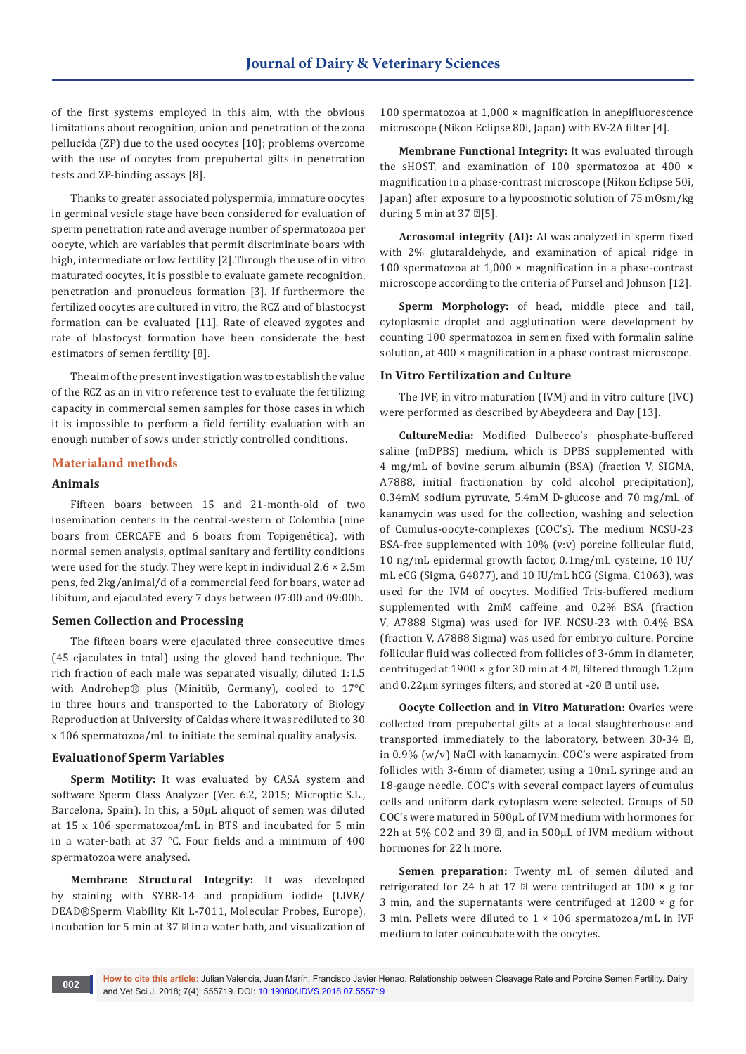of the first systems employed in this aim, with the obvious limitations about recognition, union and penetration of the zona pellucida (ZP) due to the used oocytes [10]; problems overcome with the use of oocytes from prepubertal gilts in penetration tests and ZP-binding assays [8].

Thanks to greater associated polyspermia, immature oocytes in germinal vesicle stage have been considered for evaluation of sperm penetration rate and average number of spermatozoa per oocyte, which are variables that permit discriminate boars with high, intermediate or low fertility [2].Through the use of in vitro maturated oocytes, it is possible to evaluate gamete recognition, penetration and pronucleus formation [3]. If furthermore the fertilized oocytes are cultured in vitro, the RCZ and of blastocyst formation can be evaluated [11]. Rate of cleaved zygotes and rate of blastocyst formation have been considerate the best estimators of semen fertility [8].

The aim of the present investigation was to establish the value of the RCZ as an in vitro reference test to evaluate the fertilizing capacity in commercial semen samples for those cases in which it is impossible to perform a field fertility evaluation with an enough number of sows under strictly controlled conditions.

## **Materialand methods**

## **Animals**

Fifteen boars between 15 and 21-month-old of two insemination centers in the central-western of Colombia (nine boars from CERCAFE and 6 boars from Topigenética), with normal semen analysis, optimal sanitary and fertility conditions were used for the study. They were kept in individual 2.6 × 2.5m pens, fed 2kg/animal/d of a commercial feed for boars, water ad libitum, and ejaculated every 7 days between 07:00 and 09:00h.

## **Semen Collection and Processing**

The fifteen boars were ejaculated three consecutive times (45 ejaculates in total) using the gloved hand technique. The rich fraction of each male was separated visually, diluted 1:1.5 with Androhep® plus (Minitüb, Germany), cooled to 17°C in three hours and transported to the Laboratory of Biology Reproduction at University of Caldas where it was rediluted to 30 x 106 spermatozoa/mL to initiate the seminal quality analysis.

## **Evaluationof Sperm Variables**

**Sperm Motility:** It was evaluated by CASA system and software Sperm Class Analyzer (Ver. 6.2, 2015; Microptic S.L., Barcelona, Spain). In this, a 50µL aliquot of semen was diluted at 15 x 106 spermatozoa/mL in BTS and incubated for 5 min in a water-bath at 37 °C. Four fields and a minimum of 400 spermatozoa were analysed.

**Membrane Structural Integrity:** It was developed by staining with SYBR-14 and propidium iodide (LIVE/ DEAD®Sperm Viability Kit L-7011, Molecular Probes, Europe), incubation for 5 min at 37 ℃ in a water bath, and visualization of 100 spermatozoa at 1,000 × magnification in anepifluorescence microscope (Nikon Eclipse 80i, Japan) with BV-2A filter [4].

**Membrane Functional Integrity:** It was evaluated through the sHOST, and examination of 100 spermatozoa at 400 × magnification in a phase-contrast microscope (Nikon Eclipse 50i, Japan) after exposure to a hypoosmotic solution of 75 mOsm/kg during 5 min at 37  $\mathbb{Z}[5]$ .

**Acrosomal integrity (AI):** AI was analyzed in sperm fixed with 2% glutaraldehyde, and examination of apical ridge in 100 spermatozoa at 1,000 × magnification in a phase-contrast microscope according to the criteria of Pursel and Johnson [12].

**Sperm Morphology:** of head, middle piece and tail, cytoplasmic droplet and agglutination were development by counting 100 spermatozoa in semen fixed with formalin saline solution, at 400  $\times$  magnification in a phase contrast microscope.

## **In Vitro Fertilization and Culture**

The IVF, in vitro maturation (IVM) and in vitro culture (IVC) were performed as described by Abeydeera and Day [13].

**CultureMedia:** Modified Dulbecco's phosphate-buffered saline (mDPBS) medium, which is DPBS supplemented with 4 mg/mL of bovine serum albumin (BSA) (fraction V, SIGMA, A7888, initial fractionation by cold alcohol precipitation), 0.34mM sodium pyruvate, 5.4mM D-glucose and 70 mg/mL of kanamycin was used for the collection, washing and selection of Cumulus-oocyte-complexes (COC's). The medium NCSU-23 BSA-free supplemented with 10% (v:v) porcine follicular fluid, 10 ng/mL epidermal growth factor, 0.1mg/mL cysteine, 10 IU/ mL eCG (Sigma, G4877), and 10 IU/mL hCG (Sigma, C1063), was used for the IVM of oocytes. Modified Tris-buffered medium supplemented with 2mM caffeine and 0.2% BSA (fraction V, A7888 Sigma) was used for IVF. NCSU-23 with 0.4% BSA (fraction V, A7888 Sigma) was used for embryo culture. Porcine follicular fluid was collected from follicles of 3-6mm in diameter, centrifuged at 1900 × g for 30 min at 4  $\mathbb{Z}$ , filtered through 1.2 $\mu$ m and  $0.22 \mu$ m syringes filters, and stored at -20  $\textdegree$  until use.

**Oocyte Collection and in Vitro Maturation:** Ovaries were collected from prepubertal gilts at a local slaughterhouse and transported immediately to the laboratory, between 30-34 ℃, in 0.9% (w/v) NaCl with kanamycin. COC's were aspirated from follicles with 3-6mm of diameter, using a 10mL syringe and an 18-gauge needle. COC's with several compact layers of cumulus cells and uniform dark cytoplasm were selected. Groups of 50 COC's were matured in 500µL of IVM medium with hormones for 22h at 5% CO2 and 39 ℃, and in 500µL of IVM medium without hormones for 22 h more.

**Semen preparation:** Twenty mL of semen diluted and refrigerated for 24 h at 17  $\mathbb D$  were centrifuged at 100  $\times$  g for 3 min, and the supernatants were centrifuged at  $1200 \times g$  for 3 min. Pellets were diluted to 1 × 106 spermatozoa/mL in IVF medium to later coincubate with the oocytes.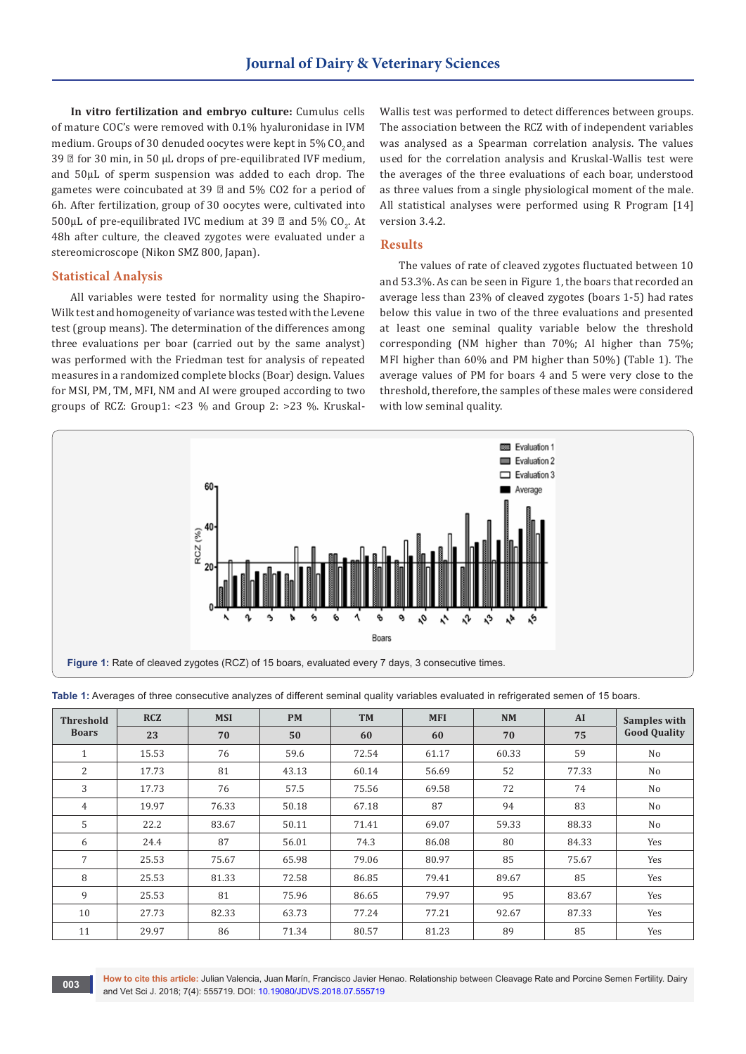**In vitro fertilization and embryo culture:** Cumulus cells of mature COC's were removed with 0.1% hyaluronidase in IVM medium. Groups of 30 denuded oocytes were kept in 5% CO<sub>2</sub> and 39 **Ø** for 30 min, in 50 µL drops of pre-equilibrated IVF medium, and 50µL of sperm suspension was added to each drop. The gametes were coincubated at 39 ℃ and 5% CO2 for a period of 6h. After fertilization, group of 30 oocytes were, cultivated into 500 $\mu$ L of pre-equilibrated IVC medium at 39  $\mathbb O$  and 5% CO<sub>2</sub>. At 48h after culture, the cleaved zygotes were evaluated under a stereomicroscope (Nikon SMZ 800, Japan).

#### **Statistical Analysis**

All variables were tested for normality using the Shapiro-Wilk test and homogeneity of variance was tested with the Levene test (group means). The determination of the differences among three evaluations per boar (carried out by the same analyst) was performed with the Friedman test for analysis of repeated measures in a randomized complete blocks (Boar) design. Values for MSI, PM, TM, MFI, NM and AI were grouped according to two groups of RCZ: Group1: <23 % and Group 2: >23 %. KruskalWallis test was performed to detect differences between groups. The association between the RCZ with of independent variables was analysed as a Spearman correlation analysis. The values used for the correlation analysis and Kruskal-Wallis test were the averages of the three evaluations of each boar, understood as three values from a single physiological moment of the male. All statistical analyses were performed using R Program [14] version 3.4.2.

## **Results**

The values of rate of cleaved zygotes fluctuated between 10 and 53.3%. As can be seen in Figure 1, the boars that recorded an average less than 23% of cleaved zygotes (boars 1-5) had rates below this value in two of the three evaluations and presented at least one seminal quality variable below the threshold corresponding (NM higher than 70%; AI higher than 75%; MFI higher than 60% and PM higher than 50%) (Table 1). The average values of PM for boars 4 and 5 were very close to the threshold, therefore, the samples of these males were considered with low seminal quality.



| <b>Threshold</b><br><b>Boars</b> | <b>RCZ</b> | <b>MSI</b> | <b>PM</b> | <b>TM</b> | <b>MFI</b> | <b>NM</b> | AI    | Samples with        |
|----------------------------------|------------|------------|-----------|-----------|------------|-----------|-------|---------------------|
|                                  | 23         | 70         | 50        | 60        | 60         | 70        | 75    | <b>Good Quality</b> |
| 1                                | 15.53      | 76         | 59.6      | 72.54     | 61.17      | 60.33     | 59    | No                  |
| 2                                | 17.73      | 81         | 43.13     | 60.14     | 56.69      | 52        | 77.33 | No                  |
| 3                                | 17.73      | 76         | 57.5      | 75.56     | 69.58      | 72        | 74    | N <sub>o</sub>      |
| 4                                | 19.97      | 76.33      | 50.18     | 67.18     | 87         | 94        | 83    | No                  |
| 5                                | 22.2       | 83.67      | 50.11     | 71.41     | 69.07      | 59.33     | 88.33 | No                  |
| 6                                | 24.4       | 87         | 56.01     | 74.3      | 86.08      | 80        | 84.33 | Yes                 |
| 7                                | 25.53      | 75.67      | 65.98     | 79.06     | 80.97      | 85        | 75.67 | Yes                 |
| 8                                | 25.53      | 81.33      | 72.58     | 86.85     | 79.41      | 89.67     | 85    | Yes                 |
| 9                                | 25.53      | 81         | 75.96     | 86.65     | 79.97      | 95        | 83.67 | Yes                 |
| 10                               | 27.73      | 82.33      | 63.73     | 77.24     | 77.21      | 92.67     | 87.33 | Yes                 |
| 11                               | 29.97      | 86         | 71.34     | 80.57     | 81.23      | 89        | 85    | Yes                 |

**Table 1:** Averages of three consecutive analyzes of different seminal quality variables evaluated in refrigerated semen of 15 boars.

**How to cite this article:** Julian Valencia, Juan Marín, Francisco Javier Henao. Relationship between Cleavage Rate and Porcine Semen Fertility. Dairy and Vet Sci J. 2018; 7(4): 555719. DOI: [10.19080/JDVS.2018.07.555719](http://dx.doi.org/10.19080/JDVS.2018.07.555719) **and Vet Sci J. 2018**; 7(4): 555719. DOI: 10.19080/JDVS.2018.07.555719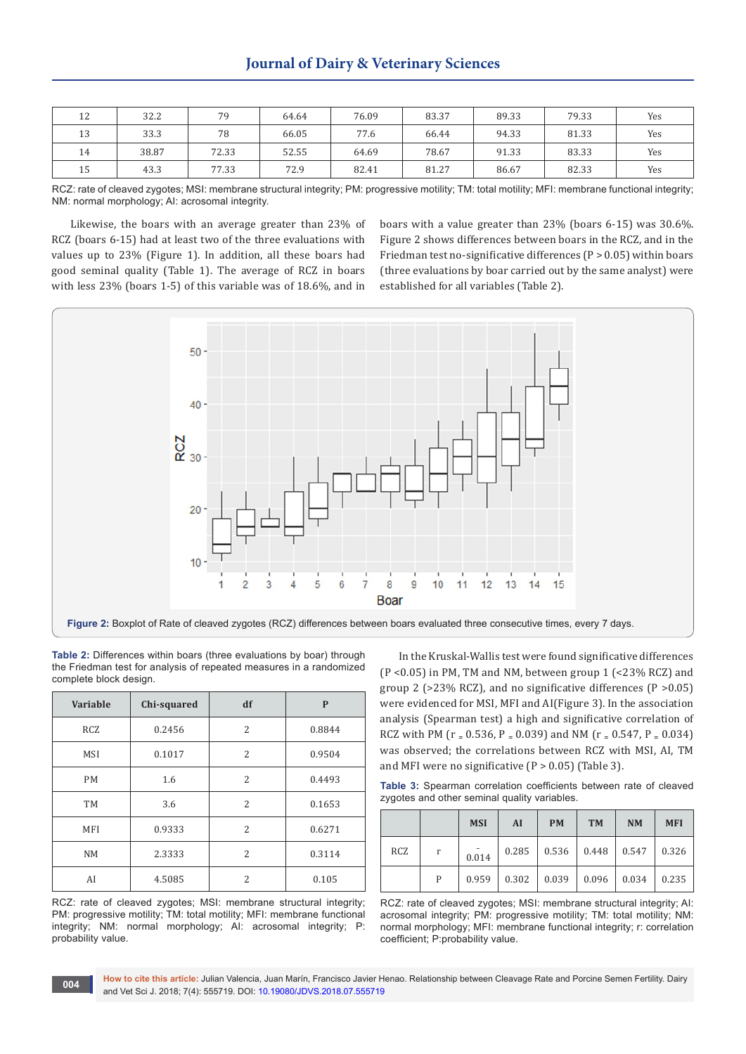| 12 | 32.2  | 79    | 64.64 | 76.09 | 83.37 | 89.33 | 79.33 | Yes |
|----|-------|-------|-------|-------|-------|-------|-------|-----|
| 13 | 33.3  | 78    | 66.05 | 77.6  | 66.44 | 94.33 | 81.33 | Yes |
| 14 | 38.87 | 72.33 | 52.55 | 64.69 | 78.67 | 91.33 | 83.33 | Yes |
| 15 | 43.3  | 77.33 | 72.9  | 82.41 | 81.27 | 86.67 | 82.33 | Yes |

RCZ: rate of cleaved zygotes; MSI: membrane structural integrity; PM: progressive motility; TM: total motility; MFI: membrane functional integrity; NM: normal morphology; AI: acrosomal integrity.

Likewise, the boars with an average greater than 23% of RCZ (boars 6-15) had at least two of the three evaluations with values up to 23% (Figure 1). In addition, all these boars had good seminal quality (Table 1). The average of RCZ in boars with less 23% (boars 1-5) of this variable was of 18.6%, and in

boars with a value greater than 23% (boars 6-15) was 30.6%. Figure 2 shows differences between boars in the RCZ, and in the Friedman test no-significative differences  $(P > 0.05)$  within boars (three evaluations by boar carried out by the same analyst) were established for all variables (Table 2).



**Table 2:** Differences within boars (three evaluations by boar) through the Friedman test for analysis of repeated measures in a randomized complete block design.

| Variable   | Chi-squared | df                       | $\mathbf{P}$ |  |
|------------|-------------|--------------------------|--------------|--|
| <b>RCZ</b> | 0.2456      | $\overline{2}$           | 0.8844       |  |
| <b>MSI</b> | 0.1017      | 2                        | 0.9504       |  |
| <b>PM</b>  | 1.6         | $\overline{c}$           | 0.4493       |  |
| <b>TM</b>  | 3.6         | $\overline{c}$           | 0.1653       |  |
| MFI        | 0.9333      | $\overline{c}$           | 0.6271       |  |
| <b>NM</b>  | 2.3333      | $\overline{2}$           | 0.3114       |  |
| AI         | 4.5085      | $\overline{\mathcal{L}}$ | 0.105        |  |

RCZ: rate of cleaved zygotes; MSI: membrane structural integrity; PM: progressive motility; TM: total motility; MFI: membrane functional integrity; NM: normal morphology; AI: acrosomal integrity; P: probability value.

In the Kruskal-Wallis test were found significative differences (P <0.05) in PM, TM and NM, between group 1 (<23% RCZ) and group 2 ( $>23\%$  RCZ), and no significative differences ( $P > 0.05$ ) were evidenced for MSI, MFI and AI(Figure 3). In the association analysis (Spearman test) a high and significative correlation of RCZ with PM ( $r = 0.536$ ,  $P = 0.039$ ) and NM ( $r = 0.547$ ,  $P = 0.034$ ) was observed; the correlations between RCZ with MSI, AI, TM and MFI were no significative  $(P > 0.05)$  (Table 3).

**Table 3:** Spearman correlation coefficients between rate of cleaved zygotes and other seminal quality variables.

|            |   | <b>MSI</b> | AI    | <b>PM</b> | <b>TM</b>     | <b>NM</b> | <b>MFI</b> |
|------------|---|------------|-------|-----------|---------------|-----------|------------|
| <b>RCZ</b> | r | 0.014      | 0.285 |           | $0.536$ 0.448 | 0.547     | 0.326      |
|            | P | 0.959      | 0.302 | 0.039     | 0.096         | 0.034     | 0.235      |

RCZ: rate of cleaved zygotes; MSI: membrane structural integrity; AI: acrosomal integrity; PM: progressive motility; TM: total motility; NM: normal morphology; MFI: membrane functional integrity; r: correlation coefficient; P:probability value.

**How to cite this article:** Julian Valencia, Juan Marín, Francisco Javier Henao. Relationship between Cleavage Rate and Porcine Semen Fertility. Dairy and Vet Sci J. 2018; 7(4): 555719. DOI: [10.19080/JDVS.2018.07.555719](http://dx.doi.org/10.19080/JDVS.2018.07.555719) **and Vet Sci J. 2018**; 7(4): 555719. DOI: 10.19080/JDVS.2018.07.555719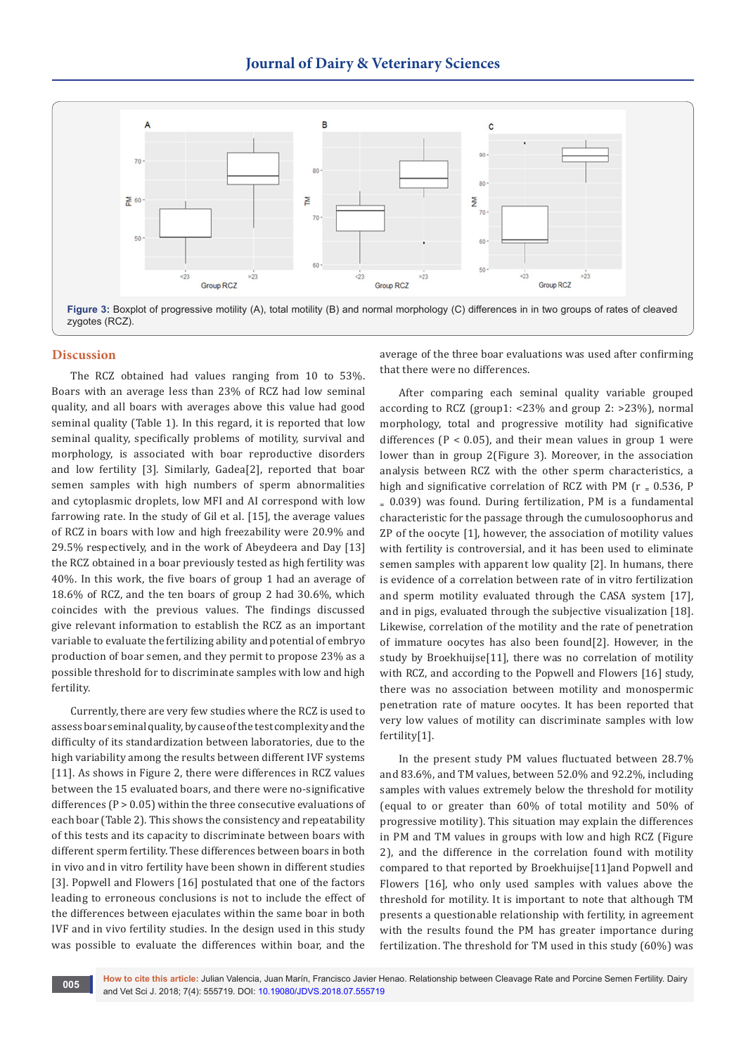

## **Discussion**

The RCZ obtained had values ranging from 10 to 53%. Boars with an average less than 23% of RCZ had low seminal quality, and all boars with averages above this value had good seminal quality (Table 1). In this regard, it is reported that low seminal quality, specifically problems of motility, survival and morphology, is associated with boar reproductive disorders and low fertility [3]. Similarly, Gadea[2], reported that boar semen samples with high numbers of sperm abnormalities and cytoplasmic droplets, low MFI and AI correspond with low farrowing rate. In the study of Gil et al. [15], the average values of RCZ in boars with low and high freezability were 20.9% and 29.5% respectively, and in the work of Abeydeera and Day [13] the RCZ obtained in a boar previously tested as high fertility was 40%. In this work, the five boars of group 1 had an average of 18.6% of RCZ, and the ten boars of group 2 had 30.6%, which coincides with the previous values. The findings discussed give relevant information to establish the RCZ as an important variable to evaluate the fertilizing ability and potential of embryo production of boar semen, and they permit to propose 23% as a possible threshold for to discriminate samples with low and high fertility.

Currently, there are very few studies where the RCZ is used to assess boar seminal quality, by cause of the test complexity and the difficulty of its standardization between laboratories, due to the high variability among the results between different IVF systems [11]. As shows in Figure 2, there were differences in RCZ values between the 15 evaluated boars, and there were no-significative differences ( $P > 0.05$ ) within the three consecutive evaluations of each boar (Table 2). This shows the consistency and repeatability of this tests and its capacity to discriminate between boars with different sperm fertility. These differences between boars in both in vivo and in vitro fertility have been shown in different studies [3]. Popwell and Flowers [16] postulated that one of the factors leading to erroneous conclusions is not to include the effect of the differences between ejaculates within the same boar in both IVF and in vivo fertility studies. In the design used in this study was possible to evaluate the differences within boar, and the

average of the three boar evaluations was used after confirming that there were no differences.

After comparing each seminal quality variable grouped according to RCZ (group1: <23% and group 2: >23%), normal morphology, total and progressive motility had significative differences ( $P < 0.05$ ), and their mean values in group 1 were lower than in group 2(Figure 3). Moreover, in the association analysis between RCZ with the other sperm characteristics, a high and significative correlation of RCZ with PM ( $r = 0.536$ , P  $= 0.039$ ) was found. During fertilization, PM is a fundamental characteristic for the passage through the cumulosoophorus and ZP of the oocyte [1], however, the association of motility values with fertility is controversial, and it has been used to eliminate semen samples with apparent low quality [2]. In humans, there is evidence of a correlation between rate of in vitro fertilization and sperm motility evaluated through the CASA system [17], and in pigs, evaluated through the subjective visualization [18]. Likewise, correlation of the motility and the rate of penetration of immature oocytes has also been found[2]. However, in the study by Broekhuijse[11], there was no correlation of motility with RCZ, and according to the Popwell and Flowers [16] study, there was no association between motility and monospermic penetration rate of mature oocytes. It has been reported that very low values of motility can discriminate samples with low fertility[1].

In the present study PM values fluctuated between 28.7% and 83.6%, and TM values, between 52.0% and 92.2%, including samples with values extremely below the threshold for motility (equal to or greater than 60% of total motility and 50% of progressive motility). This situation may explain the differences in PM and TM values in groups with low and high RCZ (Figure 2), and the difference in the correlation found with motility compared to that reported by Broekhuijse[11]and Popwell and Flowers [16], who only used samples with values above the threshold for motility. It is important to note that although TM presents a questionable relationship with fertility, in agreement with the results found the PM has greater importance during fertilization. The threshold for TM used in this study (60%) was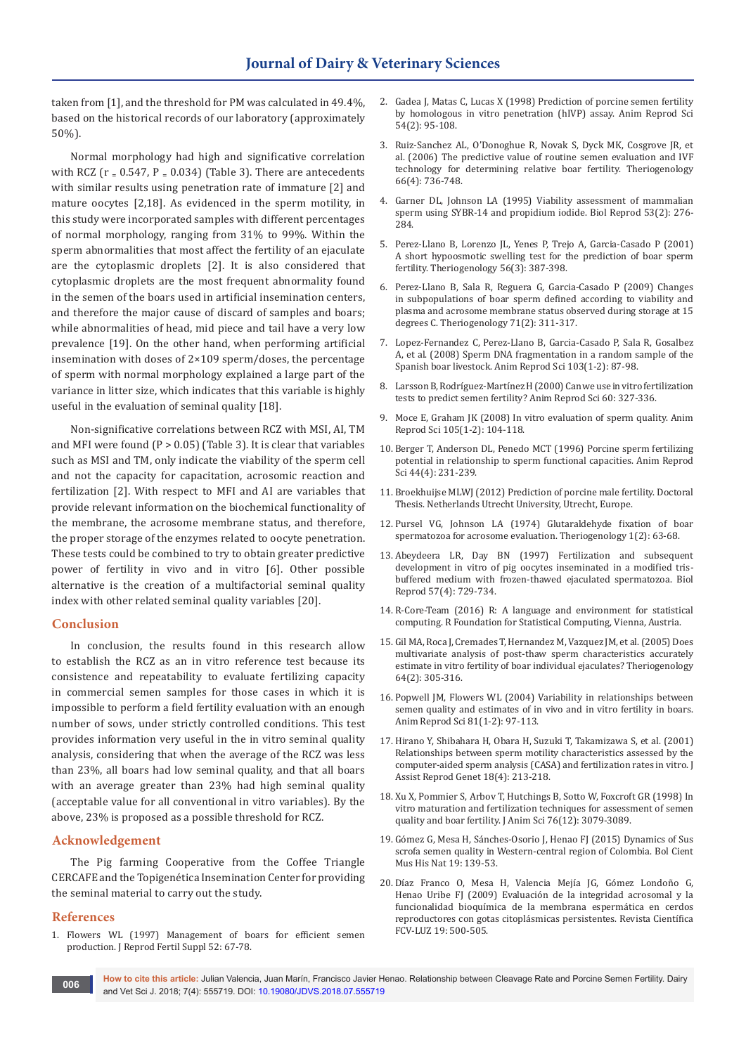taken from [1], and the threshold for PM was calculated in 49.4%, based on the historical records of our laboratory (approximately 50%).

Normal morphology had high and significative correlation with RCZ ( $r = 0.547$ ,  $P = 0.034$ ) (Table 3). There are antecedents with similar results using penetration rate of immature [2] and mature oocytes [2,18]. As evidenced in the sperm motility, in this study were incorporated samples with different percentages of normal morphology, ranging from 31% to 99%. Within the sperm abnormalities that most affect the fertility of an ejaculate are the cytoplasmic droplets [2]. It is also considered that cytoplasmic droplets are the most frequent abnormality found in the semen of the boars used in artificial insemination centers, and therefore the major cause of discard of samples and boars; while abnormalities of head, mid piece and tail have a very low prevalence [19]. On the other hand, when performing artificial insemination with doses of 2×109 sperm/doses, the percentage of sperm with normal morphology explained a large part of the variance in litter size, which indicates that this variable is highly useful in the evaluation of seminal quality [18].

Non-significative correlations between RCZ with MSI, AI, TM and MFI were found ( $P > 0.05$ ) (Table 3). It is clear that variables such as MSI and TM, only indicate the viability of the sperm cell and not the capacity for capacitation, acrosomic reaction and fertilization [2]. With respect to MFI and AI are variables that provide relevant information on the biochemical functionality of the membrane, the acrosome membrane status, and therefore, the proper storage of the enzymes related to oocyte penetration. These tests could be combined to try to obtain greater predictive power of fertility in vivo and in vitro [6]. Other possible alternative is the creation of a multifactorial seminal quality index with other related seminal quality variables [20].

## **Conclusion**

In conclusion, the results found in this research allow to establish the RCZ as an in vitro reference test because its consistence and repeatability to evaluate fertilizing capacity in commercial semen samples for those cases in which it is impossible to perform a field fertility evaluation with an enough number of sows, under strictly controlled conditions. This test provides information very useful in the in vitro seminal quality analysis, considering that when the average of the RCZ was less than 23%, all boars had low seminal quality, and that all boars with an average greater than 23% had high seminal quality (acceptable value for all conventional in vitro variables). By the above, 23% is proposed as a possible threshold for RCZ.

## **Acknowledgement**

The Pig farming Cooperative from the Coffee Triangle CERCAFE and the Topigenética Insemination Center for providing the seminal material to carry out the study.

### **References**

1. [Flowers WL \(1997\) Management of boars for efficient semen](https://www.ncbi.nlm.nih.gov/pubmed/9602720)  [production. J Reprod Fertil Suppl 52: 67-78.](https://www.ncbi.nlm.nih.gov/pubmed/9602720)

- 2. [Gadea J, Matas C, Lucas X \(1998\) Prediction of porcine semen fertility](https://www.ncbi.nlm.nih.gov/pubmed/9877056)  [by homologous in vitro penetration \(hIVP\) assay. Anim Reprod Sci](https://www.ncbi.nlm.nih.gov/pubmed/9877056)  [54\(2\): 95-108.](https://www.ncbi.nlm.nih.gov/pubmed/9877056)
- 3. [Ruiz-Sanchez AL, O'Donoghue R, Novak S, Dyck MK, Cosgrove JR, et](https://www.ncbi.nlm.nih.gov/pubmed/16529803)  [al. \(2006\) The predictive value of routine semen evaluation and IVF](https://www.ncbi.nlm.nih.gov/pubmed/16529803)  [technology for determining relative boar fertility. Theriogenology](https://www.ncbi.nlm.nih.gov/pubmed/16529803)  [66\(4\): 736-748.](https://www.ncbi.nlm.nih.gov/pubmed/16529803)
- 4. [Garner DL, Johnson LA \(1995\) Viability assessment of mammalian](https://www.ncbi.nlm.nih.gov/pubmed/7492679)  [sperm using SYBR-14 and propidium iodide. Biol Reprod 53\(2\): 276-](https://www.ncbi.nlm.nih.gov/pubmed/7492679) [284.](https://www.ncbi.nlm.nih.gov/pubmed/7492679)
- 5. [Perez-Llano B, Lorenzo JL, Yenes P, Trejo A, Garcia-Casado P \(2001\)](https://www.ncbi.nlm.nih.gov/pubmed/11516119)  [A short hypoosmotic swelling test for the prediction of boar sperm](https://www.ncbi.nlm.nih.gov/pubmed/11516119)  [fertility. Theriogenology 56\(3\): 387-398.](https://www.ncbi.nlm.nih.gov/pubmed/11516119)
- 6. [Perez-Llano B, Sala R, Reguera G, Garcia-Casado P \(2009\) Changes](https://www.ncbi.nlm.nih.gov/pubmed/18786721)  [in subpopulations of boar sperm defined according to viability and](https://www.ncbi.nlm.nih.gov/pubmed/18786721)  [plasma and acrosome membrane status observed during storage at 15](https://www.ncbi.nlm.nih.gov/pubmed/18786721)  [degrees C. Theriogenology 71\(2\): 311-317.](https://www.ncbi.nlm.nih.gov/pubmed/18786721)
- 7. [Lopez-Fernandez C, Perez-Llano B, Garcia-Casado P, Sala R, Gosalbez](https://www.ncbi.nlm.nih.gov/pubmed/17174491)  [A, et al. \(2008\) Sperm DNA fragmentation in a random sample of the](https://www.ncbi.nlm.nih.gov/pubmed/17174491)  [Spanish boar livestock. Anim Reprod Sci 103\(1-2\): 87-98.](https://www.ncbi.nlm.nih.gov/pubmed/17174491)
- 8. Larsson B, Rodríguez-Martínez H (2000) Can we use in vitro fertilization [tests to predict semen fertility? Anim Reprod Sci 60: 327-336.](https://www.ncbi.nlm.nih.gov/pubmed/10844204)
- 9. [Moce E, Graham JK \(2008\) In vitro evaluation of sperm quality. Anim](https://www.ncbi.nlm.nih.gov/pubmed/18178345)  [Reprod Sci 105\(1-2\): 104-118.](https://www.ncbi.nlm.nih.gov/pubmed/18178345)
- 10. [Berger T, Anderson DL, Penedo MCT \(1996\) Porcine sperm fertilizing](https://www.sciencedirect.com/science/article/pii/0378432096015655)  [potential in relationship to sperm functional capacities. Anim Reprod](https://www.sciencedirect.com/science/article/pii/0378432096015655)  [Sci 44\(4\): 231-239.](https://www.sciencedirect.com/science/article/pii/0378432096015655)
- 11. Broekhuijse MLWJ (2012) Prediction of porcine male fertility. Doctoral Thesis. Netherlands Utrecht University, Utrecht, Europe.
- 12. [Pursel VG, Johnson LA \(1974\) Glutaraldehyde fixation of boar](https://www.ncbi.nlm.nih.gov/pubmed/4219847)  [spermatozoa for acrosome evaluation. Theriogenology 1\(2\): 63-68.](https://www.ncbi.nlm.nih.gov/pubmed/4219847)
- 13. [Abeydeera LR, Day BN \(1997\) Fertilization and subsequent](https://www.ncbi.nlm.nih.gov/pubmed/9314573)  [development in vitro of pig oocytes inseminated in a modified tris](https://www.ncbi.nlm.nih.gov/pubmed/9314573)[buffered medium with frozen-thawed ejaculated spermatozoa. Biol](https://www.ncbi.nlm.nih.gov/pubmed/9314573)  [Reprod 57\(4\): 729-734.](https://www.ncbi.nlm.nih.gov/pubmed/9314573)
- 14. R-Core-Team (2016) R: A language and environment for statistical computing. R Foundation for Statistical Computing, Vienna, Austria.
- 15. [Gil MA, Roca J, Cremades T, Hernandez M, Vazquez JM, et al. \(2005\) Does](https://www.ncbi.nlm.nih.gov/pubmed/15955355)  [multivariate analysis of post-thaw sperm characteristics accurately](https://www.ncbi.nlm.nih.gov/pubmed/15955355)  [estimate in vitro fertility of boar individual ejaculates? Theriogenology](https://www.ncbi.nlm.nih.gov/pubmed/15955355)  [64\(2\): 305-316.](https://www.ncbi.nlm.nih.gov/pubmed/15955355)
- 16. [Popwell JM, Flowers WL \(2004\) Variability in relationships between](https://www.ncbi.nlm.nih.gov/pubmed/14749052)  [semen quality and estimates of in vivo and in vitro fertility in boars.](https://www.ncbi.nlm.nih.gov/pubmed/14749052)  [Anim Reprod Sci 81\(1-2\): 97-113.](https://www.ncbi.nlm.nih.gov/pubmed/14749052)
- 17. [Hirano Y, Shibahara H, Obara H, Suzuki T, Takamizawa S, et al. \(2001\)](https://www.ncbi.nlm.nih.gov/pubmed/11432113)  [Relationships between sperm motility characteristics assessed by the](https://www.ncbi.nlm.nih.gov/pubmed/11432113)  [computer-aided sperm analysis \(CASA\) and fertilization rates in vitro. J](https://www.ncbi.nlm.nih.gov/pubmed/11432113)  [Assist Reprod Genet 18\(4\): 213-218.](https://www.ncbi.nlm.nih.gov/pubmed/11432113)
- 18. [Xu X, Pommier S, Arbov T, Hutchings B, Sotto W, Foxcroft GR \(1998\) In](https://www.ncbi.nlm.nih.gov/pubmed/9928613)  [vitro maturation and fertilization techniques for assessment of semen](https://www.ncbi.nlm.nih.gov/pubmed/9928613)  [quality and boar fertility. J Anim Sci 76\(12\): 3079-3089.](https://www.ncbi.nlm.nih.gov/pubmed/9928613)
- 19. Gómez G, Mesa H, Sánches-Osorio J, Henao FJ (2015) Dynamics of Sus scrofa semen quality in Western-central region of Colombia. Bol Cient Mus His Nat 19: 139-53.
- 20. Díaz Franco O, Mesa H, Valencia Mejía JG, Gómez Londoño G, Henao Uribe FJ (2009) Evaluación de la integridad acrosomal y la funcionalidad bioquímica de la membrana espermática en cerdos reproductores con gotas citoplásmicas persistentes. Revista Científica FCV-LUZ 19: 500-505.

**How to cite this article:** Julian Valencia, Juan Marín, Francisco Javier Henao. Relationship between Cleavage Rate and Porcine Semen Fertility. Dairy **and Vet Sci J. 2018; 7(4): 555719. DOI: [10.19080/JDVS.2018.07.555719](http://dx.doi.org/10.19080/JDVS.2018.07.555719)**<br>**and Vet Sci J. 2018; 7(4): 555719. DOI: 10.19080/JDVS.2018.07.555719**